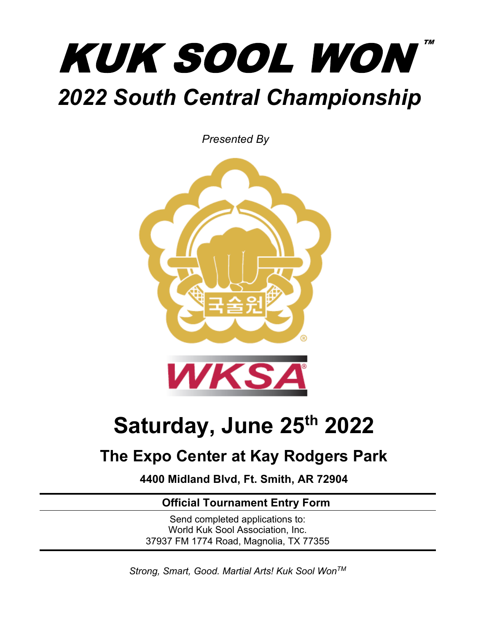# TM **KUK SOOL WON** *2022 South Central Championship*

*Presented By*



# **Saturday, June 25th 2022**

# **The Expo Center at Kay Rodgers Park**

**4400 Midland Blvd, Ft. Smith, AR 72904**

# **Official Tournament Entry Form**

Send completed applications to: World Kuk Sool Association, Inc. 37937 FM 1774 Road, Magnolia, TX 77355

*Strong, Smart, Good. Martial Arts! Kuk Sool WonTM*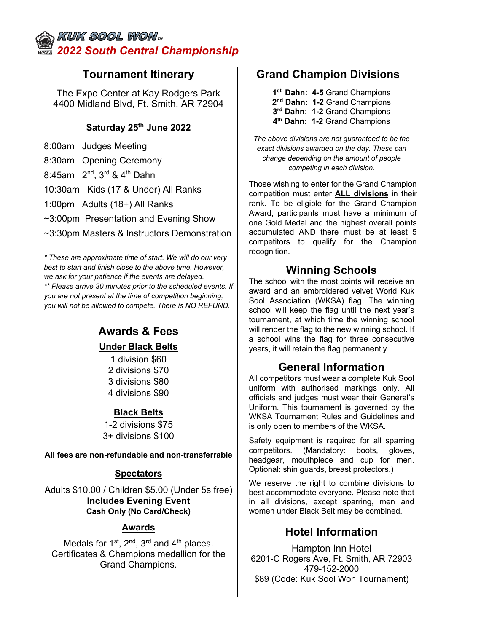## KUK SOOL WON,, *2022 South Central Championship*

The Expo Center at Kay Rodgers Park 4400 Midland Blvd, Ft. Smith, AR 72904

#### **Saturday 25th June 2022**

8:00am Judges Meeting

8:30am Opening Ceremony

8:45am  $2^{nd}$ ,  $3^{rd}$  &  $4^{th}$  Dahn

10:30am Kids (17 & Under) All Ranks

1:00pm Adults (18+) All Ranks

~3:00pm Presentation and Evening Show

~3:30pm Masters & Instructors Demonstration

*\* These are approximate time of start. We will do our very best to start and finish close to the above time. However, we ask for your patience if the events are delayed. \*\* Please arrive 30 minutes prior to the scheduled events. If you are not present at the time of competition beginning, you will not be allowed to compete. There is NO REFUND.*

#### **Awards & Fees Under Black Belts**  1 division \$60

2 divisions \$70 3 divisions \$80 4 divisions \$90

#### **Black Belts**

1-2 divisions \$75 3+ divisions \$100

**All fees are non-refundable and non-transferrable**

#### **Spectators**

Adults \$10.00 / Children \$5.00 (Under 5s free) **Includes Evening Event Cash Only (No Card/Check)**

#### **Awards**

Medals for  $1^{st}$ ,  $2^{nd}$ ,  $3^{rd}$  and  $4^{th}$  places. Certificates & Champions medallion for the Grand Champions.

### **Tournament Itinerary Grand Champion Divisions**

**1st Dahn: 4-5** Grand Champions **2nd Dahn: 1-2** Grand Champions **3rd Dahn: 1-2** Grand Champions **4th Dahn: 1-2** Grand Champions

*The above divisions are not guaranteed to be the exact divisions awarded on the day. These can change depending on the amount of people competing in each division.* 

Those wishing to enter for the Grand Champion competition must enter **ALL divisions** in their rank. To be eligible for the Grand Champion Award, participants must have a minimum of one Gold Medal and the highest overall points accumulated AND there must be at least 5 competitors to qualify for the Champion recognition.

#### **Winning Schools**

The school with the most points will receive an award and an embroidered velvet World Kuk Sool Association (WKSA) flag. The winning school will keep the flag until the next year's tournament, at which time the winning school will render the flag to the new winning school. If a school wins the flag for three consecutive years, it will retain the flag permanently.

#### **General Information**

All competitors must wear a complete Kuk Sool uniform with authorised markings only. All officials and judges must wear their General's Uniform. This tournament is governed by the WKSA Tournament Rules and Guidelines and is only open to members of the WKSA.

Safety equipment is required for all sparring competitors. (Mandatory: boots, gloves, headgear, mouthpiece and cup for men. Optional: shin guards, breast protectors.)

We reserve the right to combine divisions to best accommodate everyone. Please note that in all divisions, except sparring, men and women under Black Belt may be combined.

## **Hotel Information**

Hampton Inn Hotel 6201-C Rogers Ave, Ft. Smith, AR 72903 479-152-2000 \$89 (Code: Kuk Sool Won Tournament)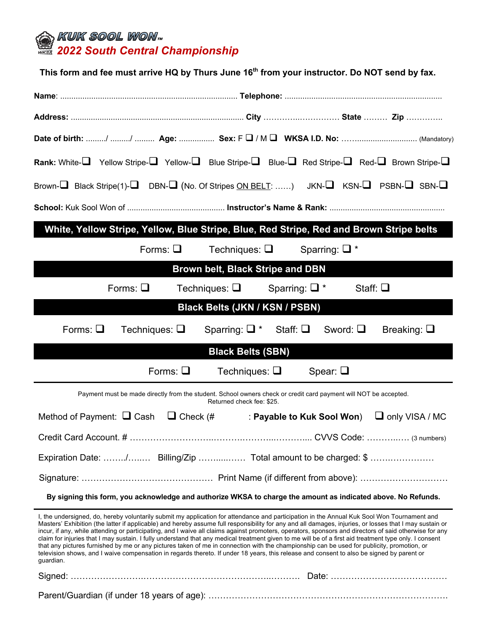

| This form and fee must arrive HQ by Thurs June 16 <sup>th</sup> from your instructor. Do NOT send by fax.                                                                                                                                                                                                                                                                                                                                                                                                                                                                                                                                                                                                                                                                                                                                                                                                                          |  |  |  |  |  |  |  |
|------------------------------------------------------------------------------------------------------------------------------------------------------------------------------------------------------------------------------------------------------------------------------------------------------------------------------------------------------------------------------------------------------------------------------------------------------------------------------------------------------------------------------------------------------------------------------------------------------------------------------------------------------------------------------------------------------------------------------------------------------------------------------------------------------------------------------------------------------------------------------------------------------------------------------------|--|--|--|--|--|--|--|
|                                                                                                                                                                                                                                                                                                                                                                                                                                                                                                                                                                                                                                                                                                                                                                                                                                                                                                                                    |  |  |  |  |  |  |  |
|                                                                                                                                                                                                                                                                                                                                                                                                                                                                                                                                                                                                                                                                                                                                                                                                                                                                                                                                    |  |  |  |  |  |  |  |
|                                                                                                                                                                                                                                                                                                                                                                                                                                                                                                                                                                                                                                                                                                                                                                                                                                                                                                                                    |  |  |  |  |  |  |  |
| Rank: White- $\Box$ Yellow Stripe- $\Box$ Yellow- $\Box$ Blue Stripe- $\Box$ Blue- $\Box$ Red Stripe- $\Box$ Red- $\Box$ Brown Stripe- $\Box$                                                                                                                                                                                                                                                                                                                                                                                                                                                                                                                                                                                                                                                                                                                                                                                      |  |  |  |  |  |  |  |
| Brown- $\Box$ Black Stripe(1)- $\Box$ DBN- $\Box$ (No. Of Stripes ON BELT: ) JKN- $\Box$ KSN- $\Box$ PSBN- $\Box$ SBN- $\Box$                                                                                                                                                                                                                                                                                                                                                                                                                                                                                                                                                                                                                                                                                                                                                                                                      |  |  |  |  |  |  |  |
|                                                                                                                                                                                                                                                                                                                                                                                                                                                                                                                                                                                                                                                                                                                                                                                                                                                                                                                                    |  |  |  |  |  |  |  |
| White, Yellow Stripe, Yellow, Blue Stripe, Blue, Red Stripe, Red and Brown Stripe belts                                                                                                                                                                                                                                                                                                                                                                                                                                                                                                                                                                                                                                                                                                                                                                                                                                            |  |  |  |  |  |  |  |
| Forms: $\Box$<br>Techniques: $\Box$<br>Sparring: $\Box$ *                                                                                                                                                                                                                                                                                                                                                                                                                                                                                                                                                                                                                                                                                                                                                                                                                                                                          |  |  |  |  |  |  |  |
| Brown belt, Black Stripe and DBN                                                                                                                                                                                                                                                                                                                                                                                                                                                                                                                                                                                                                                                                                                                                                                                                                                                                                                   |  |  |  |  |  |  |  |
| Forms: $\square$<br>Techniques: $\Box$<br>Sparring: $\Box$ *<br>Staff: $\Box$                                                                                                                                                                                                                                                                                                                                                                                                                                                                                                                                                                                                                                                                                                                                                                                                                                                      |  |  |  |  |  |  |  |
| Black Belts (JKN / KSN / PSBN)                                                                                                                                                                                                                                                                                                                                                                                                                                                                                                                                                                                                                                                                                                                                                                                                                                                                                                     |  |  |  |  |  |  |  |
| Forms: $\square$<br>Techniques: $\Box$<br>Sparring: $\Box^*$ Staff: $\Box$<br>Sword: $\square$<br>Breaking: $\Box$                                                                                                                                                                                                                                                                                                                                                                                                                                                                                                                                                                                                                                                                                                                                                                                                                 |  |  |  |  |  |  |  |
| <b>Black Belts (SBN)</b>                                                                                                                                                                                                                                                                                                                                                                                                                                                                                                                                                                                                                                                                                                                                                                                                                                                                                                           |  |  |  |  |  |  |  |
| Forms: $\square$<br>Techniques: $\Box$<br>Spear: $\square$                                                                                                                                                                                                                                                                                                                                                                                                                                                                                                                                                                                                                                                                                                                                                                                                                                                                         |  |  |  |  |  |  |  |
| Payment must be made directly from the student. School owners check or credit card payment will NOT be accepted.<br>Returned check fee: \$25.                                                                                                                                                                                                                                                                                                                                                                                                                                                                                                                                                                                                                                                                                                                                                                                      |  |  |  |  |  |  |  |
| Method of Payment: $\Box$ Cash $\Box$ Check (#<br>$\Box$ only VISA / MC<br>: Payable to Kuk Sool Won)                                                                                                                                                                                                                                                                                                                                                                                                                                                                                                                                                                                                                                                                                                                                                                                                                              |  |  |  |  |  |  |  |
|                                                                                                                                                                                                                                                                                                                                                                                                                                                                                                                                                                                                                                                                                                                                                                                                                                                                                                                                    |  |  |  |  |  |  |  |
| Expiration Date: / Billing/Zip  Total amount to be charged: \$                                                                                                                                                                                                                                                                                                                                                                                                                                                                                                                                                                                                                                                                                                                                                                                                                                                                     |  |  |  |  |  |  |  |
|                                                                                                                                                                                                                                                                                                                                                                                                                                                                                                                                                                                                                                                                                                                                                                                                                                                                                                                                    |  |  |  |  |  |  |  |
| By signing this form, you acknowledge and authorize WKSA to charge the amount as indicated above. No Refunds.                                                                                                                                                                                                                                                                                                                                                                                                                                                                                                                                                                                                                                                                                                                                                                                                                      |  |  |  |  |  |  |  |
| I, the undersigned, do, hereby voluntarily submit my application for attendance and participation in the Annual Kuk Sool Won Tournament and<br>Masters' Exhibition (the latter if applicable) and hereby assume full responsibility for any and all damages, injuries, or losses that I may sustain or<br>incur, if any, while attending or participating, and I waive all claims against promoters, operators, sponsors and directors of said otherwise for any<br>claim for injuries that I may sustain. I fully understand that any medical treatment given to me will be of a first aid treatment type only. I consent<br>that any pictures furnished by me or any pictures taken of me in connection with the championship can be used for publicity, promotion, or<br>television shows, and I waive compensation in regards thereto. If under 18 years, this release and consent to also be signed by parent or<br>guardian. |  |  |  |  |  |  |  |
|                                                                                                                                                                                                                                                                                                                                                                                                                                                                                                                                                                                                                                                                                                                                                                                                                                                                                                                                    |  |  |  |  |  |  |  |

Parent/Guardian (if under 18 years of age): ……………………………………………………………………….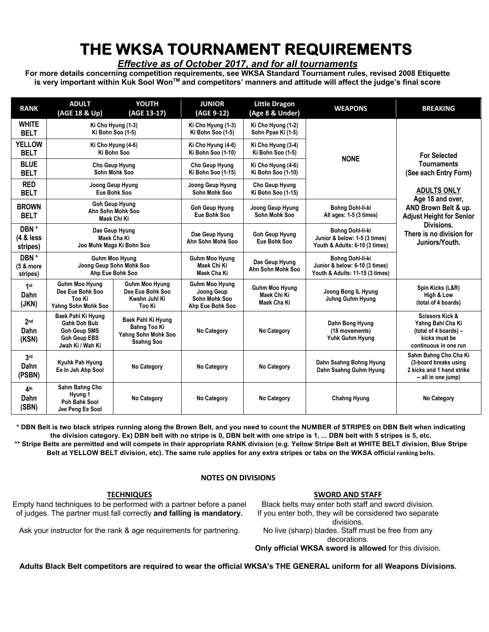# **THE WKSA TOURNAMENT REQUIREMENTS**

#### *Effective as of October 2017, and for all tournaments*

**For more details concerning competition requirements, see WKSA Standard Tournament rules, revised 2008 Etiquette is very important within Kuk Sool WonTM and competitors' manners and attitude will affect the judge's final score**

| <b>RANK</b>                              | <b>ADULT</b><br>(AGE 18 & Up)                                                                        | <b>YOUTH</b><br>(AGE 13-17)                                                           | <b>JUNIOR</b><br>(AGE 9-12)                                              | <b>Little Dragon</b><br>(Age 8 & Under)             | <b>WEAPONS</b>                                                                        | <b>BREAKING</b>                                                                                                    |
|------------------------------------------|------------------------------------------------------------------------------------------------------|---------------------------------------------------------------------------------------|--------------------------------------------------------------------------|-----------------------------------------------------|---------------------------------------------------------------------------------------|--------------------------------------------------------------------------------------------------------------------|
| <b>WHITE</b><br><b>BELT</b>              | Ki Cho Hyung (1-3)<br>Ki Bohn Soo (1-5)                                                              |                                                                                       | Ki Cho Hyung (1-3)<br>Ki Bohn Soo (1-5)                                  | Ki Cho Hyung (1-2)<br>Sohn Ppae Ki (1-5)            | <b>NONE</b>                                                                           | <b>For Selected</b><br><b>Tournaments</b><br>(See each Entry Form)<br><b>ADULTS ONLY</b><br>Age 18 and over,       |
| <b>YELLOW</b><br><b>BELT</b>             | Ki Cho Hyung (4-6)<br>Ki Bohn Soo                                                                    |                                                                                       | Ki Cho Hyung (4-6)<br>Ki Bohn Soo (1-10)                                 | Ki Cho Hyung (3-4)<br>Ki Bohn Soo (1-5)             |                                                                                       |                                                                                                                    |
| <b>BLUE</b><br><b>BELT</b>               | Cho Geup Hyung<br>Sohn Mohk Soo                                                                      |                                                                                       | Cho Geup Hyung<br>Ki Bohn Soo (1-15)                                     | Ki Cho Hyung (4-6)<br>Ki Bohn Soo (1-10)            |                                                                                       |                                                                                                                    |
| <b>RED</b><br><b>BELT</b>                | Joong Geup Hyung<br>Eue Bohk Soo                                                                     |                                                                                       | Joong Geup Hyung<br>Sohn Mohk Soo                                        | Cho Geup Hyung<br>Ki Bohn Soo (1-15)                |                                                                                       |                                                                                                                    |
| <b>BROWN</b><br><b>BELT</b>              |                                                                                                      | <b>Goh Geup Hyung</b><br>Ahn Sohn Mohk Soo<br>Maek Chi Ki                             | <b>Goh Geup Hyung</b><br>Eue Bohk Soo                                    | Joong Geup Hyung<br>Sohn Mohk Soo                   | Bohng Dohl-li-ki<br>All ages: 1-5 (3 times)                                           | AND Brown Belt & up.<br><b>Adjust Height for Senior</b>                                                            |
| DBN*<br>$(4 & \text{less})$<br>stripes)  | Dae Geup Hyung<br>Maek Cha Ki<br>Joo Muhk Maga Ki Bohn Soo                                           |                                                                                       | Dae Geup Hyung<br>Ahn Sohn Mohk Soo                                      | <b>Goh Geup Hyung</b><br>Eue Bohk Soo               | Bohng Dohl-li-ki<br>Junior & below: 1-5 (3 times)<br>Youth & Adults: 6-10 (3 times)   | Divisions.<br>There is no division for<br>Juniors/Youth.                                                           |
| DBN*<br>(5 & more<br>stripes)            | <b>Guhm Moo Hyung</b><br>Joong Geup Sohn Mohk Soo<br>Ahp Eue Bohk Soo                                |                                                                                       | <b>Guhm Moo Hyung</b><br>Maek Chi Ki<br>Maek Cha Ki                      | Dae Geup Hyung<br>Ahn Sohn Mohk Soo                 | Bohng Dohl-li-ki<br>Junior & below: 6-10 (3 times)<br>Youth & Adults: 11-15 (3 times) |                                                                                                                    |
| 1st<br>Dahn<br>(JKN)                     | <b>Guhm Moo Hyung</b><br>Dee Eue Bohk Soo<br>Too Ki<br>Yahng Sohn Mohk Soo                           | <b>Guhm Moo Hyung</b><br>Dee Eue Bohk Soo<br>Kwahn Juhl Ki<br>Too Ki                  | <b>Guhm Moo Hyung</b><br>Joong Geup<br>Sohn Mohk Soo<br>Ahp Eue Bohk Soo | <b>Guhm Moo Hyung</b><br>Maek Chi Ki<br>Maek Cha Ki | Joong Bong IL Hyung<br><b>Juhng Guhm Hyung</b>                                        | Spin Kicks (L&R)<br>High & Low<br>(total of 4 boards)                                                              |
| 2 <sub>nd</sub><br>Dahn<br>(KSN)         | Baek Pahl Ki Hyung<br>Gahk Doh Bub<br><b>Goh Geup SMS</b><br><b>Goh Geup EBS</b><br>Jwah Ki / Wah Ki | Baek Pahl Ki Hyung<br><b>Bahng Too Ki</b><br>Yahng Sohn Mohk Soo<br><b>Ssahng Soo</b> | No Category                                                              | No Category                                         | Dahn Bong Hyung<br>(18 movements)<br>Yuhk Guhm Hyung                                  | <b>Scissors Kick &amp;</b><br>Yahng Bahl Cha Ki<br>(total of 4 boards) -<br>kicks must be<br>continuous in one run |
| 3 <sub>rd</sub><br><b>Dahn</b><br>(PSBN) | Kyuhk Pah Hyung<br>Ee In Jeh Ahp Sool                                                                | No Category                                                                           | No Category                                                              | No Category                                         | Dahn Ssahng Bohng Hyung<br>Dahn Ssahng Guhm Hyung                                     | Sahm Bahng Cho Cha Ki<br>(3-board breaks using<br>2 kicks and 1 hand strike<br>-- all in one jump)                 |
| 4 <sup>th</sup><br>Dahn<br>(SBN)         | Sahm Bahng Cho<br>Hyung 1<br>Poh Bahk Sool<br>Jee Peng Ee Sool                                       | No Category                                                                           | No Category                                                              | No Category                                         | <b>Chahng Hyung</b>                                                                   | No Category                                                                                                        |

**\* DBN Belt is two black stripes running along the Brown Belt, and you need to count the NUMBER of STRIPES on DBN Belt when indicating the division category. Ex) DBN belt with no stripe is 0, DBN belt with one stripe is 1, ... DBN belt with 5 stripes is 5, etc. \*\* Stripe Belts are permitted and will compete in their appropriate RANK division (e.g. Yellow Stripe Belt at WHITE BELT division, Blue Stripe**

**Belt at YELLOW BELT division, etc). The same rule applies for any extra stripes or tabs on the WKSA official ranking belts.**

#### **NOTES ON DIVISIONS**

#### **TECHNIQUES**

Empty hand techniques to be performed with a partner before a panel of judges. The partner must fall correctly **and falling is mandatory.**

Ask your instructor for the rank & age requirements for partnering.

No live (sharp) blades. Staff must be free from any decorations.

**Only official WKSA sword is allowed** for this division.

**Adults Black Belt competitors are required to wear the official WKSA's THE GENERAL uniform for all Weapons Divisions.**

#### **SWORD AND STAFF** Black belts may enter both staff and sword division.

If you enter both, they will be considered two separate divisions.